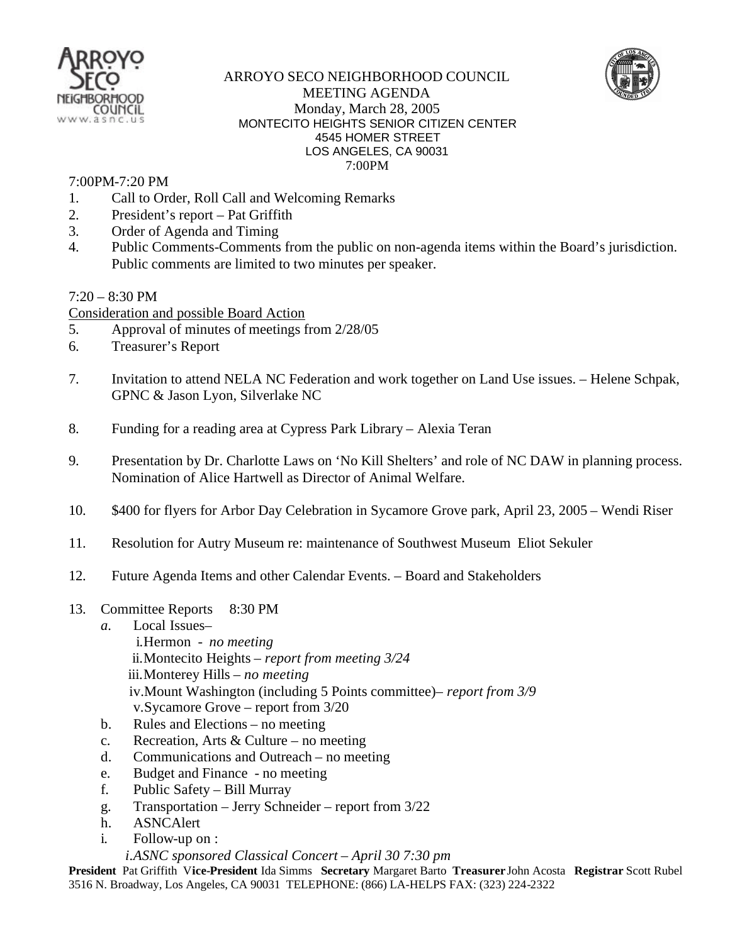

## ARROYO SECO NEIGHBORHOOD COUNCIL MEETING AGENDA Monday, March 28, 2005 MONTECITO HEIGHTS SENIOR CITIZEN CENTER 4545 HOMER STREET LOS ANGELES, CA 90031 7:00PM

## 7:00PM-7:20 PM

- 1. Call to Order, Roll Call and Welcoming Remarks
- 2. President's report Pat Griffith
- 3. Order of Agenda and Timing
- 4. Public Comments-Comments from the public on non-agenda items within the Board's jurisdiction. Public comments are limited to two minutes per speaker.

 $7:20 - 8:30$  PM

- Consideration and possible Board Action
- 5. Approval of minutes of meetings from 2/28/05
- 6. Treasurer's Report
- 7. Invitation to attend NELA NC Federation and work together on Land Use issues. Helene Schpak, GPNC & Jason Lyon, Silverlake NC
- 8. Funding for a reading area at Cypress Park Library Alexia Teran
- 9. Presentation by Dr. Charlotte Laws on 'No Kill Shelters' and role of NC DAW in planning process. Nomination of Alice Hartwell as Director of Animal Welfare.
- 10. \$400 for flyers for Arbor Day Celebration in Sycamore Grove park, April 23, 2005 Wendi Riser
- 11. Resolution for Autry Museum re: maintenance of Southwest Museum Eliot Sekuler
- 12. Future Agenda Items and other Calendar Events. Board and Stakeholders
- 13. Committee Reports 8:30 PM
	- *a.* Local Issues–
		- i.Hermon *no meeting* ii.Montecito Heights – *report from meeting 3/24*  iii.Monterey Hills – *no meeting*  iv.Mount Washington (including 5 Points committee)– *report from 3/9* v.Sycamore Grove – report from 3/20
	- b. Rules and Elections no meeting
	- c. Recreation, Arts & Culture no meeting
	- d. Communications and Outreach no meeting
	- e. Budget and Finance no meeting
	- f. Public Safety Bill Murray
	- g. Transportation Jerry Schneider report from 3/22
	- h. ASNCAlert
	- i. Follow-up on :

## *i.ASNC sponsored Classical Concert – April 30 7:30 pm*

**President** Pat Griffith V**ice-President** Ida Simms **Secretary** Margaret Barto **Treasurer** John Acosta **Registrar** Scott Rubel 3516 N. Broadway, Los Angeles, CA 90031 TELEPHONE: (866) LA-HELPS FAX: (323) 224-2322